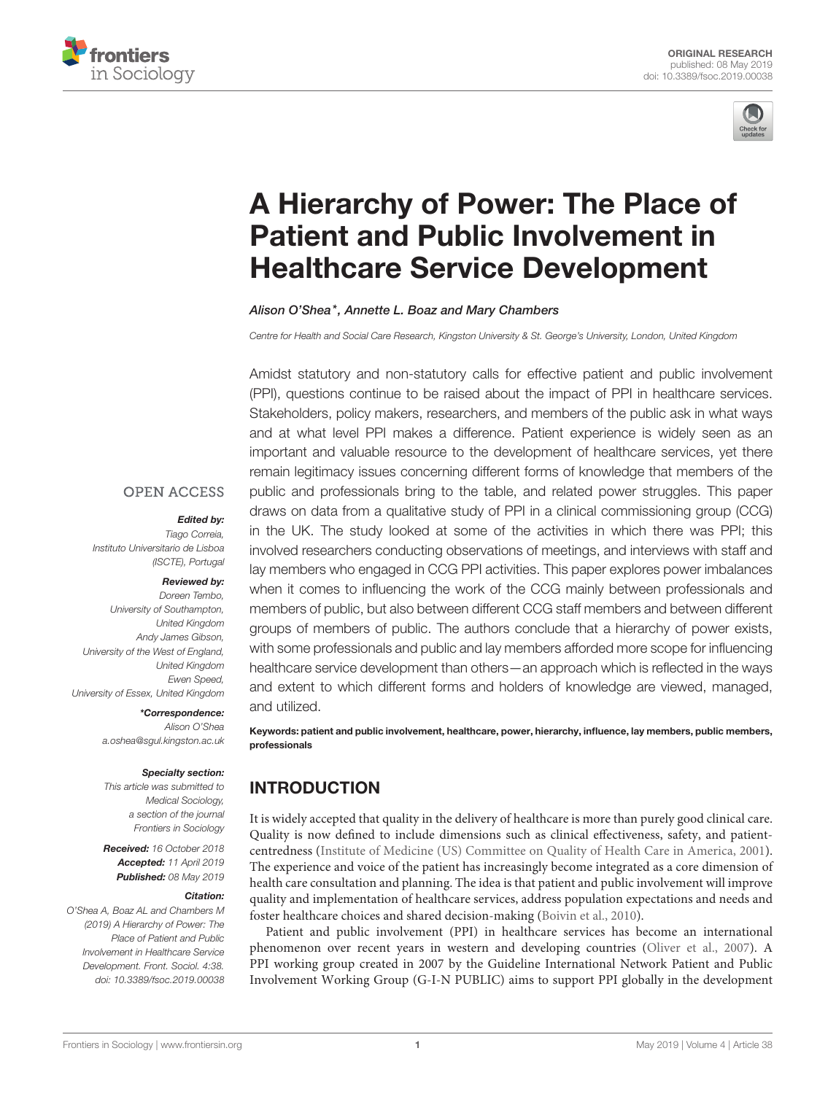



# [A Hierarchy of Power: The Place of](https://www.frontiersin.org/articles/10.3389/fsoc.2019.00038/full) Patient and Public Involvement in Healthcare Service Development

[Alison O'Shea\\*](http://loop.frontiersin.org/people/558514/overview), [Annette L. Boaz](http://loop.frontiersin.org/people/507668/overview) and [Mary Chambers](http://loop.frontiersin.org/people/723475/overview)

*Centre for Health and Social Care Research, Kingston University & St. George's University, London, United Kingdom*

Amidst statutory and non-statutory calls for effective patient and public involvement (PPI), questions continue to be raised about the impact of PPI in healthcare services. Stakeholders, policy makers, researchers, and members of the public ask in what ways and at what level PPI makes a difference. Patient experience is widely seen as an important and valuable resource to the development of healthcare services, yet there remain legitimacy issues concerning different forms of knowledge that members of the public and professionals bring to the table, and related power struggles. This paper draws on data from a qualitative study of PPI in a clinical commissioning group (CCG) in the UK. The study looked at some of the activities in which there was PPI; this involved researchers conducting observations of meetings, and interviews with staff and lay members who engaged in CCG PPI activities. This paper explores power imbalances when it comes to influencing the work of the CCG mainly between professionals and members of public, but also between different CCG staff members and between different groups of members of public. The authors conclude that a hierarchy of power exists, with some professionals and public and lay members afforded more scope for influencing healthcare service development than others—an approach which is reflected in the ways and extent to which different forms and holders of knowledge are viewed, managed, and utilized.

Keywords: patient and public involvement, healthcare, power, hierarchy, influence, lay members, public members, professionals

# INTRODUCTION

It is widely accepted that quality in the delivery of healthcare is more than purely good clinical care. Quality is now defined to include dimensions such as clinical effectiveness, safety, and patientcentredness [\(Institute of Medicine \(US\) Committee on Quality of Health Care](#page-11-0) in America, [2001\)](#page-11-0). The experience and voice of the patient has increasingly become integrated as a core dimension of health care consultation and planning. The idea is that patient and public involvement will improve quality and implementation of healthcare services, address population expectations and needs and foster healthcare choices and shared decision-making [\(Boivin et al., 2010\)](#page-10-0).

Patient and public involvement (PPI) in healthcare services has become an international phenomenon over recent years in western and developing countries [\(Oliver et al., 2007\)](#page-11-1). A PPI working group created in 2007 by the Guideline International Network Patient and Public Involvement Working Group (G-I-N PUBLIC) aims to support PPI globally in the development

### **OPEN ACCESS**

#### Edited by:

*Tiago Correia, Instituto Universitario de Lisboa (ISCTE), Portugal*

# Reviewed by:

*Doreen Tembo, University of Southampton, United Kingdom Andy James Gibson, University of the West of England, United Kingdom Ewen Speed, University of Essex, United Kingdom*

\*Correspondence:

*Alison O'Shea [a.oshea@sgul.kingston.ac.uk](mailto:a.oshea@sgul.kingston.ac.uk)*

### Specialty section:

*This article was submitted to Medical Sociology, a section of the journal Frontiers in Sociology*

Received: *16 October 2018* Accepted: *11 April 2019* Published: *08 May 2019*

#### Citation:

*O'Shea A, Boaz AL and Chambers M (2019) A Hierarchy of Power: The Place of Patient and Public Involvement in Healthcare Service Development. Front. Sociol. 4:38. doi: [10.3389/fsoc.2019.00038](https://doi.org/10.3389/fsoc.2019.00038)*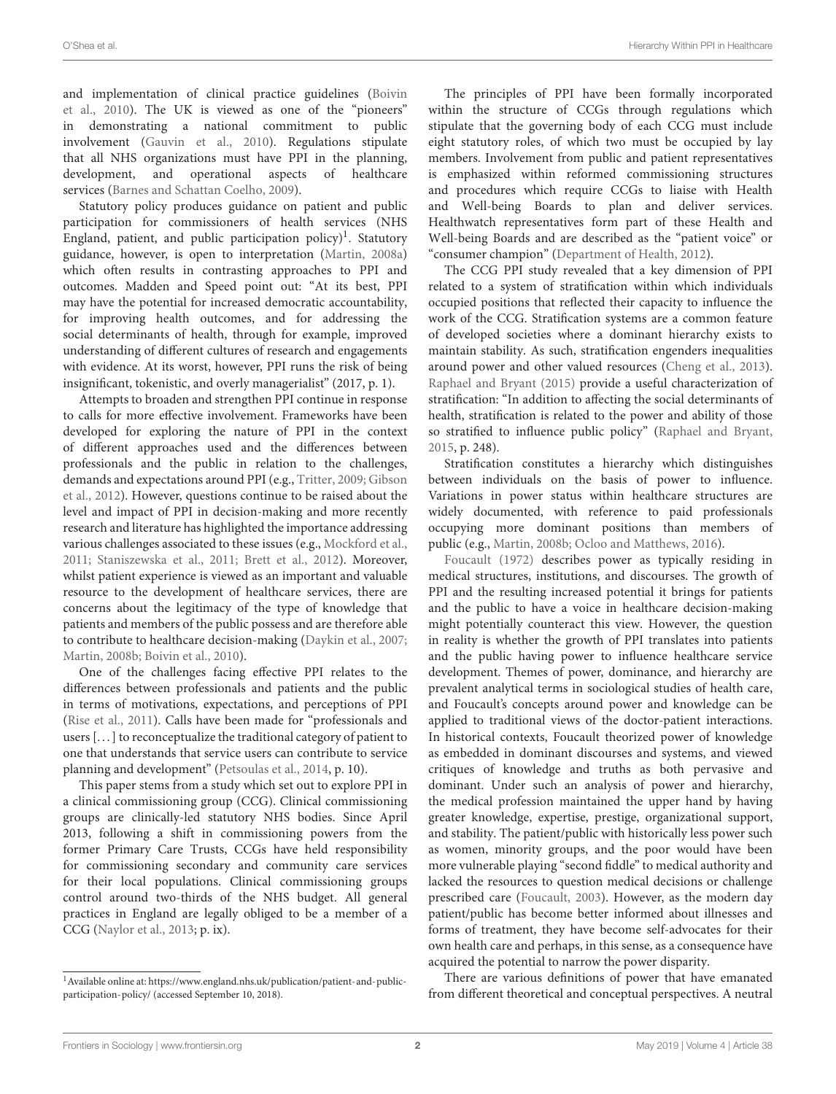and implementation of clinical practice guidelines (Boivin et al., [2010\)](#page-10-0). The UK is viewed as one of the "pioneers" in demonstrating a national commitment to public involvement [\(Gauvin et al., 2010\)](#page-10-1). Regulations stipulate that all NHS organizations must have PPI in the planning, development, and operational aspects of healthcare services [\(Barnes and Schattan Coelho, 2009\)](#page-10-2).

Statutory policy produces guidance on patient and public participation for commissioners of health services (NHS England, patient, and public participation policy)<sup>[1](#page-1-0)</sup>. Statutory guidance, however, is open to interpretation [\(Martin, 2008a\)](#page-11-2) which often results in contrasting approaches to PPI and outcomes. Madden and Speed point out: "At its best, PPI may have the potential for increased democratic accountability, for improving health outcomes, and for addressing the social determinants of health, through for example, improved understanding of different cultures of research and engagements with evidence. At its worst, however, PPI runs the risk of being insignificant, tokenistic, and overly managerialist" (2017, p. 1).

Attempts to broaden and strengthen PPI continue in response to calls for more effective involvement. Frameworks have been developed for exploring the nature of PPI in the context of different approaches used and the differences between professionals and the public in relation to the challenges, demands and expectations around PPI (e.g., [Tritter, 2009;](#page-11-3) Gibson et al., [2012\)](#page-11-4). However, questions continue to be raised about the level and impact of PPI in decision-making and more recently research and literature has highlighted the importance addressing various challenges associated to these issues (e.g., [Mockford et al.,](#page-11-5) [2011;](#page-11-5) [Staniszewska et al., 2011;](#page-11-6) [Brett et al., 2012\)](#page-10-3). Moreover, whilst patient experience is viewed as an important and valuable resource to the development of healthcare services, there are concerns about the legitimacy of the type of knowledge that patients and members of the public possess and are therefore able to contribute to healthcare decision-making [\(Daykin et al., 2007;](#page-10-4) [Martin, 2008b;](#page-11-7) [Boivin et al., 2010\)](#page-10-0).

One of the challenges facing effective PPI relates to the differences between professionals and patients and the public in terms of motivations, expectations, and perceptions of PPI [\(Rise et al., 2011\)](#page-11-8). Calls have been made for "professionals and users [. . . ] to reconceptualize the traditional category of patient to one that understands that service users can contribute to service planning and development" [\(Petsoulas et al., 2014,](#page-11-9) p. 10).

This paper stems from a study which set out to explore PPI in a clinical commissioning group (CCG). Clinical commissioning groups are clinically-led statutory NHS bodies. Since April 2013, following a shift in commissioning powers from the former Primary Care Trusts, CCGs have held responsibility for commissioning secondary and community care services for their local populations. Clinical commissioning groups control around two-thirds of the NHS budget. All general practices in England are legally obliged to be a member of a CCG [\(Naylor et al., 2013;](#page-11-10) p. ix).

The principles of PPI have been formally incorporated within the structure of CCGs through regulations which stipulate that the governing body of each CCG must include eight statutory roles, of which two must be occupied by lay members. Involvement from public and patient representatives is emphasized within reformed commissioning structures and procedures which require CCGs to liaise with Health and Well-being Boards to plan and deliver services. Healthwatch representatives form part of these Health and Well-being Boards and are described as the "patient voice" or "consumer champion" [\(Department of Health, 2012\)](#page-10-5).

The CCG PPI study revealed that a key dimension of PPI related to a system of stratification within which individuals occupied positions that reflected their capacity to influence the work of the CCG. Stratification systems are a common feature of developed societies where a dominant hierarchy exists to maintain stability. As such, stratification engenders inequalities around power and other valued resources [\(Cheng et al., 2013\)](#page-10-6). [Raphael and Bryant \(2015\)](#page-11-11) provide a useful characterization of stratification: "In addition to affecting the social determinants of health, stratification is related to the power and ability of those so stratified to influence public policy" [\(Raphael and Bryant,](#page-11-11) [2015,](#page-11-11) p. 248).

Stratification constitutes a hierarchy which distinguishes between individuals on the basis of power to influence. Variations in power status within healthcare structures are widely documented, with reference to paid professionals occupying more dominant positions than members of public (e.g., [Martin, 2008b;](#page-11-7) [Ocloo and Matthews, 2016\)](#page-11-12).

[Foucault \(1972\)](#page-10-7) describes power as typically residing in medical structures, institutions, and discourses. The growth of PPI and the resulting increased potential it brings for patients and the public to have a voice in healthcare decision-making might potentially counteract this view. However, the question in reality is whether the growth of PPI translates into patients and the public having power to influence healthcare service development. Themes of power, dominance, and hierarchy are prevalent analytical terms in sociological studies of health care, and Foucault's concepts around power and knowledge can be applied to traditional views of the doctor-patient interactions. In historical contexts, Foucault theorized power of knowledge as embedded in dominant discourses and systems, and viewed critiques of knowledge and truths as both pervasive and dominant. Under such an analysis of power and hierarchy, the medical profession maintained the upper hand by having greater knowledge, expertise, prestige, organizational support, and stability. The patient/public with historically less power such as women, minority groups, and the poor would have been more vulnerable playing "second fiddle" to medical authority and lacked the resources to question medical decisions or challenge prescribed care [\(Foucault, 2003\)](#page-10-8). However, as the modern day patient/public has become better informed about illnesses and forms of treatment, they have become self-advocates for their own health care and perhaps, in this sense, as a consequence have acquired the potential to narrow the power disparity.

There are various definitions of power that have emanated from different theoretical and conceptual perspectives. A neutral

<span id="page-1-0"></span><sup>1</sup>Available online at: [https://www.england.nhs.uk/publication/patient-and-public](https://www.england.nhs.uk/publication/patient-and-public-participation-policy/)[participation-policy/](https://www.england.nhs.uk/publication/patient-and-public-participation-policy/) (accessed September 10, 2018).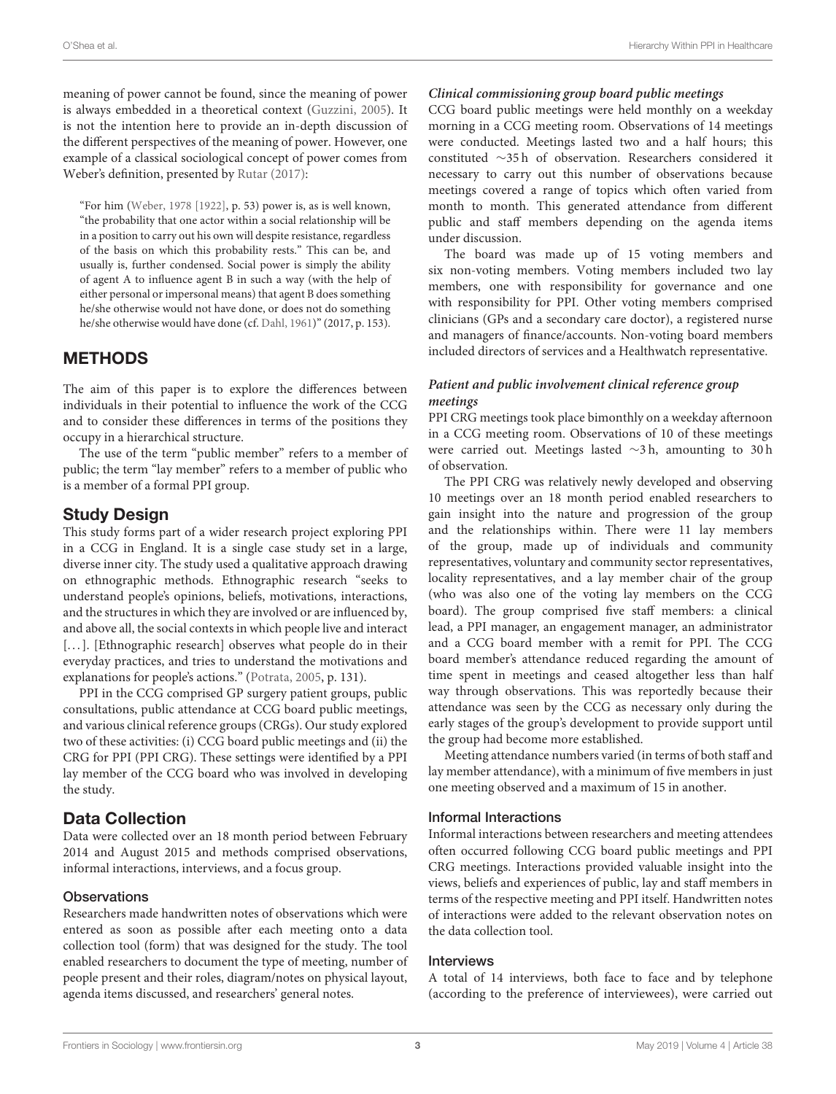meaning of power cannot be found, since the meaning of power is always embedded in a theoretical context [\(Guzzini, 2005\)](#page-11-13). It is not the intention here to provide an in-depth discussion of the different perspectives of the meaning of power. However, one example of a classical sociological concept of power comes from Weber's definition, presented by [Rutar \(2017\)](#page-11-14):

"For him [\(Weber, 1978 \[1922\],](#page-11-15) p. 53) power is, as is well known, "the probability that one actor within a social relationship will be in a position to carry out his own will despite resistance, regardless of the basis on which this probability rests." This can be, and usually is, further condensed. Social power is simply the ability of agent A to influence agent B in such a way (with the help of either personal or impersonal means) that agent B does something he/she otherwise would not have done, or does not do something he/she otherwise would have done (cf. [Dahl, 1961\)](#page-10-9)" (2017, p. 153).

# METHODS

The aim of this paper is to explore the differences between individuals in their potential to influence the work of the CCG and to consider these differences in terms of the positions they occupy in a hierarchical structure.

The use of the term "public member" refers to a member of public; the term "lay member" refers to a member of public who is a member of a formal PPI group.

### Study Design

This study forms part of a wider research project exploring PPI in a CCG in England. It is a single case study set in a large, diverse inner city. The study used a qualitative approach drawing on ethnographic methods. Ethnographic research "seeks to understand people's opinions, beliefs, motivations, interactions, and the structures in which they are involved or are influenced by, and above all, the social contexts in which people live and interact [...]. [Ethnographic research] observes what people do in their everyday practices, and tries to understand the motivations and explanations for people's actions." [\(Potrata, 2005,](#page-11-16) p. 131).

PPI in the CCG comprised GP surgery patient groups, public consultations, public attendance at CCG board public meetings, and various clinical reference groups (CRGs). Our study explored two of these activities: (i) CCG board public meetings and (ii) the CRG for PPI (PPI CRG). These settings were identified by a PPI lay member of the CCG board who was involved in developing the study.

### Data Collection

Data were collected over an 18 month period between February 2014 and August 2015 and methods comprised observations, informal interactions, interviews, and a focus group.

### **Observations**

Researchers made handwritten notes of observations which were entered as soon as possible after each meeting onto a data collection tool (form) that was designed for the study. The tool enabled researchers to document the type of meeting, number of people present and their roles, diagram/notes on physical layout, agenda items discussed, and researchers' general notes.

### **Clinical commissioning group board public meetings**

CCG board public meetings were held monthly on a weekday morning in a CCG meeting room. Observations of 14 meetings were conducted. Meetings lasted two and a half hours; this constituted ∼35 h of observation. Researchers considered it necessary to carry out this number of observations because meetings covered a range of topics which often varied from month to month. This generated attendance from different public and staff members depending on the agenda items under discussion.

The board was made up of 15 voting members and six non-voting members. Voting members included two lay members, one with responsibility for governance and one with responsibility for PPI. Other voting members comprised clinicians (GPs and a secondary care doctor), a registered nurse and managers of finance/accounts. Non-voting board members included directors of services and a Healthwatch representative.

### **Patient and public involvement clinical reference group meetings**

PPI CRG meetings took place bimonthly on a weekday afternoon in a CCG meeting room. Observations of 10 of these meetings were carried out. Meetings lasted ∼3 h, amounting to 30 h of observation.

The PPI CRG was relatively newly developed and observing 10 meetings over an 18 month period enabled researchers to gain insight into the nature and progression of the group and the relationships within. There were 11 lay members of the group, made up of individuals and community representatives, voluntary and community sector representatives, locality representatives, and a lay member chair of the group (who was also one of the voting lay members on the CCG board). The group comprised five staff members: a clinical lead, a PPI manager, an engagement manager, an administrator and a CCG board member with a remit for PPI. The CCG board member's attendance reduced regarding the amount of time spent in meetings and ceased altogether less than half way through observations. This was reportedly because their attendance was seen by the CCG as necessary only during the early stages of the group's development to provide support until the group had become more established.

Meeting attendance numbers varied (in terms of both staff and lay member attendance), with a minimum of five members in just one meeting observed and a maximum of 15 in another.

### Informal Interactions

Informal interactions between researchers and meeting attendees often occurred following CCG board public meetings and PPI CRG meetings. Interactions provided valuable insight into the views, beliefs and experiences of public, lay and staff members in terms of the respective meeting and PPI itself. Handwritten notes of interactions were added to the relevant observation notes on the data collection tool.

### Interviews

A total of 14 interviews, both face to face and by telephone (according to the preference of interviewees), were carried out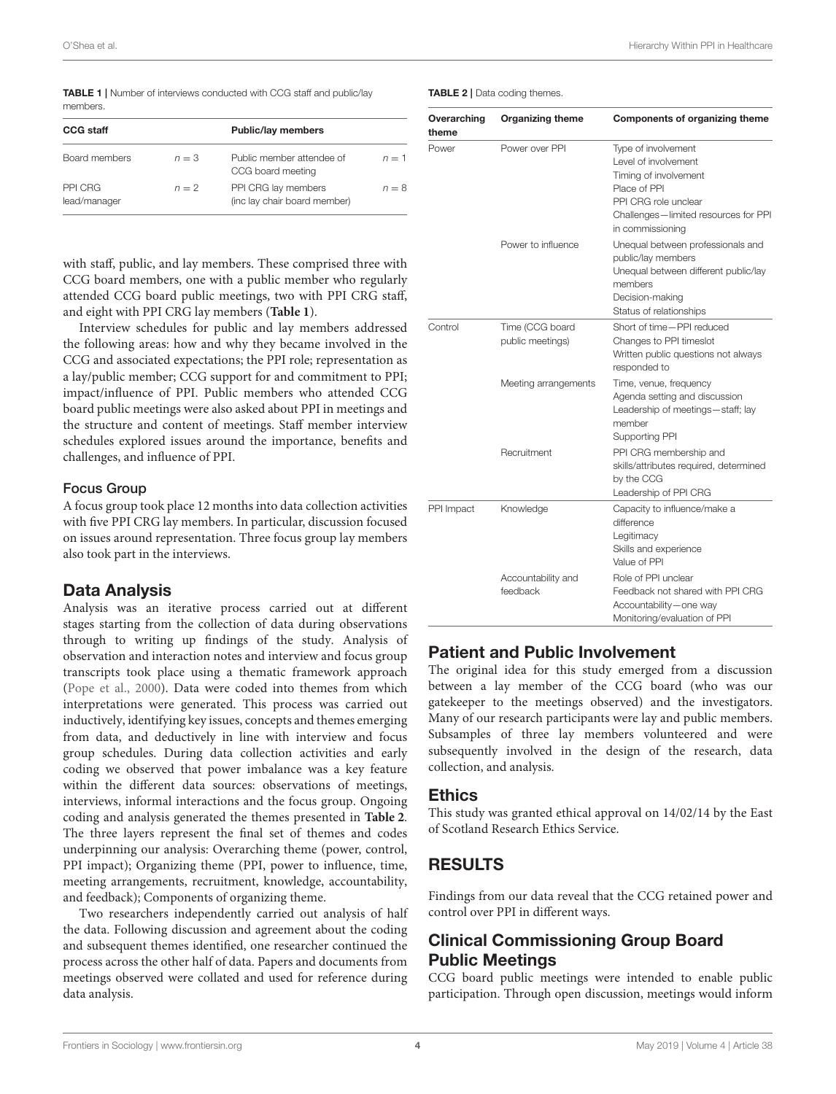<span id="page-3-0"></span>TABLE 1 | Number of interviews conducted with CCG staff and public/lay members.

| <b>CCG staff</b>        |         | <b>Public/lay members</b>                           |         |
|-------------------------|---------|-----------------------------------------------------|---------|
| Board members           | $n = 3$ | Public member attendee of<br>CCG board meeting      | $n=1$   |
| PPI CRG<br>lead/manager | $n = 2$ | PPI CRG lay members<br>(inc lay chair board member) | $n = 8$ |

with staff, public, and lay members. These comprised three with CCG board members, one with a public member who regularly attended CCG board public meetings, two with PPI CRG staff, and eight with PPI CRG lay members (**[Table 1](#page-3-0)**).

Interview schedules for public and lay members addressed the following areas: how and why they became involved in the CCG and associated expectations; the PPI role; representation as a lay/public member; CCG support for and commitment to PPI; impact/influence of PPI. Public members who attended CCG board public meetings were also asked about PPI in meetings and the structure and content of meetings. Staff member interview schedules explored issues around the importance, benefits and challenges, and influence of PPI.

### Focus Group

A focus group took place 12 months into data collection activities with five PPI CRG lay members. In particular, discussion focused on issues around representation. Three focus group lay members also took part in the interviews.

# Data Analysis

Analysis was an iterative process carried out at different stages starting from the collection of data during observations through to writing up findings of the study. Analysis of observation and interaction notes and interview and focus group transcripts took place using a thematic framework approach [\(Pope et al., 2000\)](#page-11-17). Data were coded into themes from which interpretations were generated. This process was carried out inductively, identifying key issues, concepts and themes emerging from data, and deductively in line with interview and focus group schedules. During data collection activities and early coding we observed that power imbalance was a key feature within the different data sources: observations of meetings, interviews, informal interactions and the focus group. Ongoing coding and analysis generated the themes presented in **[Table 2](#page-3-1)**. The three layers represent the final set of themes and codes underpinning our analysis: Overarching theme (power, control, PPI impact); Organizing theme (PPI, power to influence, time, meeting arrangements, recruitment, knowledge, accountability, and feedback); Components of organizing theme.

Two researchers independently carried out analysis of half the data. Following discussion and agreement about the coding and subsequent themes identified, one researcher continued the process across the other half of data. Papers and documents from meetings observed were collated and used for reference during data analysis.

<span id="page-3-1"></span>TABLE 2 | Data coding themes.

| Overarching<br>theme | <b>Organizing theme</b>             | Components of organizing theme                                                                                                                                           |
|----------------------|-------------------------------------|--------------------------------------------------------------------------------------------------------------------------------------------------------------------------|
| Power                | Power over PPI                      | Type of involvement<br>Level of involvement<br>Timing of involvement<br>Place of PPI<br>PPI CRG role unclear<br>Challenges-limited resources for PPI<br>in commissioning |
|                      | Power to influence                  | Unequal between professionals and<br>public/lay members<br>Unequal between different public/lay<br>members<br>Decision-making<br>Status of relationships                 |
| Control              | Time (CCG board<br>public meetings) | Short of time-PPI reduced<br>Changes to PPI timeslot<br>Written public questions not always<br>responded to                                                              |
|                      | Meeting arrangements                | Time, venue, frequency<br>Agenda setting and discussion<br>Leadership of meetings-staff; lay<br>member<br>Supporting PPI                                                 |
|                      | Recruitment                         | PPI CRG membership and<br>skills/attributes required, determined<br>by the CCG<br>Leadership of PPI CRG                                                                  |
| PPI Impact           | Knowledge                           | Capacity to influence/make a<br>difference<br>Legitimacy<br>Skills and experience<br>Value of PPI                                                                        |
|                      | Accountability and<br>feedback      | Role of PPI unclear<br>Feedback not shared with PPI CRG<br>Accountability-one way<br>Monitoring/evaluation of PPI                                                        |

# Patient and Public Involvement

The original idea for this study emerged from a discussion between a lay member of the CCG board (who was our gatekeeper to the meetings observed) and the investigators. Many of our research participants were lay and public members. Subsamples of three lay members volunteered and were subsequently involved in the design of the research, data collection, and analysis.

### **Ethics**

This study was granted ethical approval on 14/02/14 by the East of Scotland Research Ethics Service.

# RESULTS

Findings from our data reveal that the CCG retained power and control over PPI in different ways.

# Clinical Commissioning Group Board Public Meetings

CCG board public meetings were intended to enable public participation. Through open discussion, meetings would inform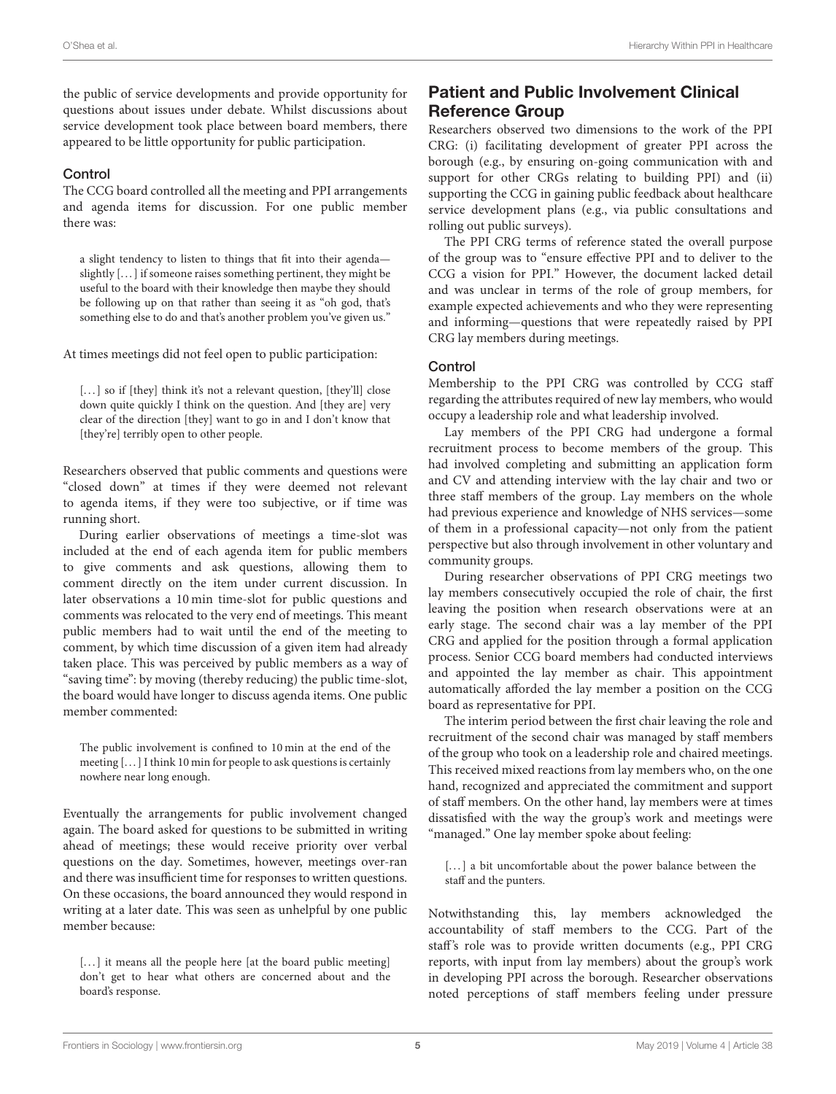the public of service developments and provide opportunity for questions about issues under debate. Whilst discussions about service development took place between board members, there appeared to be little opportunity for public participation.

### Control

The CCG board controlled all the meeting and PPI arrangements and agenda items for discussion. For one public member there was:

a slight tendency to listen to things that fit into their agenda slightly [. . . ] if someone raises something pertinent, they might be useful to the board with their knowledge then maybe they should be following up on that rather than seeing it as "oh god, that's something else to do and that's another problem you've given us."

At times meetings did not feel open to public participation:

[...] so if [they] think it's not a relevant question, [they'll] close down quite quickly I think on the question. And [they are] very clear of the direction [they] want to go in and I don't know that [they're] terribly open to other people.

Researchers observed that public comments and questions were "closed down" at times if they were deemed not relevant to agenda items, if they were too subjective, or if time was running short.

During earlier observations of meetings a time-slot was included at the end of each agenda item for public members to give comments and ask questions, allowing them to comment directly on the item under current discussion. In later observations a 10 min time-slot for public questions and comments was relocated to the very end of meetings. This meant public members had to wait until the end of the meeting to comment, by which time discussion of a given item had already taken place. This was perceived by public members as a way of "saving time": by moving (thereby reducing) the public time-slot, the board would have longer to discuss agenda items. One public member commented:

The public involvement is confined to 10 min at the end of the meeting [. . . ] I think 10 min for people to ask questions is certainly nowhere near long enough.

Eventually the arrangements for public involvement changed again. The board asked for questions to be submitted in writing ahead of meetings; these would receive priority over verbal questions on the day. Sometimes, however, meetings over-ran and there was insufficient time for responses to written questions. On these occasions, the board announced they would respond in writing at a later date. This was seen as unhelpful by one public member because:

[...] it means all the people here [at the board public meeting] don't get to hear what others are concerned about and the board's response.

# Patient and Public Involvement Clinical Reference Group

Researchers observed two dimensions to the work of the PPI CRG: (i) facilitating development of greater PPI across the borough (e.g., by ensuring on-going communication with and support for other CRGs relating to building PPI) and (ii) supporting the CCG in gaining public feedback about healthcare service development plans (e.g., via public consultations and rolling out public surveys).

The PPI CRG terms of reference stated the overall purpose of the group was to "ensure effective PPI and to deliver to the CCG a vision for PPI." However, the document lacked detail and was unclear in terms of the role of group members, for example expected achievements and who they were representing and informing—questions that were repeatedly raised by PPI CRG lay members during meetings.

### Control

Membership to the PPI CRG was controlled by CCG staff regarding the attributes required of new lay members, who would occupy a leadership role and what leadership involved.

Lay members of the PPI CRG had undergone a formal recruitment process to become members of the group. This had involved completing and submitting an application form and CV and attending interview with the lay chair and two or three staff members of the group. Lay members on the whole had previous experience and knowledge of NHS services—some of them in a professional capacity—not only from the patient perspective but also through involvement in other voluntary and community groups.

During researcher observations of PPI CRG meetings two lay members consecutively occupied the role of chair, the first leaving the position when research observations were at an early stage. The second chair was a lay member of the PPI CRG and applied for the position through a formal application process. Senior CCG board members had conducted interviews and appointed the lay member as chair. This appointment automatically afforded the lay member a position on the CCG board as representative for PPI.

The interim period between the first chair leaving the role and recruitment of the second chair was managed by staff members of the group who took on a leadership role and chaired meetings. This received mixed reactions from lay members who, on the one hand, recognized and appreciated the commitment and support of staff members. On the other hand, lay members were at times dissatisfied with the way the group's work and meetings were "managed." One lay member spoke about feeling:

[...] a bit uncomfortable about the power balance between the staff and the punters.

Notwithstanding this, lay members acknowledged the accountability of staff members to the CCG. Part of the staff's role was to provide written documents (e.g., PPI CRG reports, with input from lay members) about the group's work in developing PPI across the borough. Researcher observations noted perceptions of staff members feeling under pressure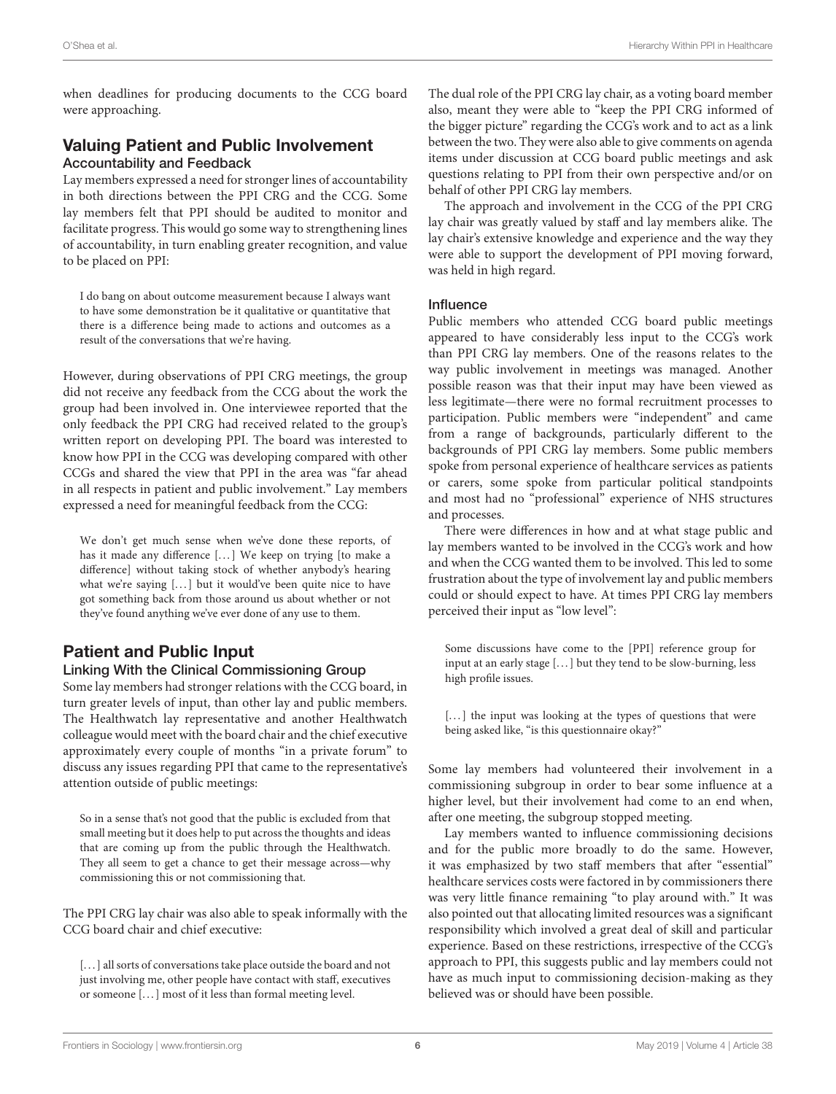when deadlines for producing documents to the CCG board were approaching.

# Valuing Patient and Public Involvement Accountability and Feedback

Lay members expressed a need for stronger lines of accountability in both directions between the PPI CRG and the CCG. Some lay members felt that PPI should be audited to monitor and facilitate progress. This would go some way to strengthening lines of accountability, in turn enabling greater recognition, and value to be placed on PPI:

I do bang on about outcome measurement because I always want to have some demonstration be it qualitative or quantitative that there is a difference being made to actions and outcomes as a result of the conversations that we're having.

However, during observations of PPI CRG meetings, the group did not receive any feedback from the CCG about the work the group had been involved in. One interviewee reported that the only feedback the PPI CRG had received related to the group's written report on developing PPI. The board was interested to know how PPI in the CCG was developing compared with other CCGs and shared the view that PPI in the area was "far ahead in all respects in patient and public involvement." Lay members expressed a need for meaningful feedback from the CCG:

We don't get much sense when we've done these reports, of has it made any difference [...] We keep on trying [to make a difference] without taking stock of whether anybody's hearing what we're saying [...] but it would've been quite nice to have got something back from those around us about whether or not they've found anything we've ever done of any use to them.

# Patient and Public Input

### Linking With the Clinical Commissioning Group

Some lay members had stronger relations with the CCG board, in turn greater levels of input, than other lay and public members. The Healthwatch lay representative and another Healthwatch colleague would meet with the board chair and the chief executive approximately every couple of months "in a private forum" to discuss any issues regarding PPI that came to the representative's attention outside of public meetings:

So in a sense that's not good that the public is excluded from that small meeting but it does help to put across the thoughts and ideas that are coming up from the public through the Healthwatch. They all seem to get a chance to get their message across—why commissioning this or not commissioning that.

The PPI CRG lay chair was also able to speak informally with the CCG board chair and chief executive:

[...] all sorts of conversations take place outside the board and not just involving me, other people have contact with staff, executives or someone [. . . ] most of it less than formal meeting level.

The dual role of the PPI CRG lay chair, as a voting board member also, meant they were able to "keep the PPI CRG informed of the bigger picture" regarding the CCG's work and to act as a link between the two. They were also able to give comments on agenda items under discussion at CCG board public meetings and ask questions relating to PPI from their own perspective and/or on behalf of other PPI CRG lay members.

The approach and involvement in the CCG of the PPI CRG lay chair was greatly valued by staff and lay members alike. The lay chair's extensive knowledge and experience and the way they were able to support the development of PPI moving forward, was held in high regard.

### Influence

Public members who attended CCG board public meetings appeared to have considerably less input to the CCG's work than PPI CRG lay members. One of the reasons relates to the way public involvement in meetings was managed. Another possible reason was that their input may have been viewed as less legitimate—there were no formal recruitment processes to participation. Public members were "independent" and came from a range of backgrounds, particularly different to the backgrounds of PPI CRG lay members. Some public members spoke from personal experience of healthcare services as patients or carers, some spoke from particular political standpoints and most had no "professional" experience of NHS structures and processes.

There were differences in how and at what stage public and lay members wanted to be involved in the CCG's work and how and when the CCG wanted them to be involved. This led to some frustration about the type of involvement lay and public members could or should expect to have. At times PPI CRG lay members perceived their input as "low level":

Some discussions have come to the [PPI] reference group for input at an early stage [. . . ] but they tend to be slow-burning, less high profile issues.

[...] the input was looking at the types of questions that were being asked like, "is this questionnaire okay?"

Some lay members had volunteered their involvement in a commissioning subgroup in order to bear some influence at a higher level, but their involvement had come to an end when, after one meeting, the subgroup stopped meeting.

Lay members wanted to influence commissioning decisions and for the public more broadly to do the same. However, it was emphasized by two staff members that after "essential" healthcare services costs were factored in by commissioners there was very little finance remaining "to play around with." It was also pointed out that allocating limited resources was a significant responsibility which involved a great deal of skill and particular experience. Based on these restrictions, irrespective of the CCG's approach to PPI, this suggests public and lay members could not have as much input to commissioning decision-making as they believed was or should have been possible.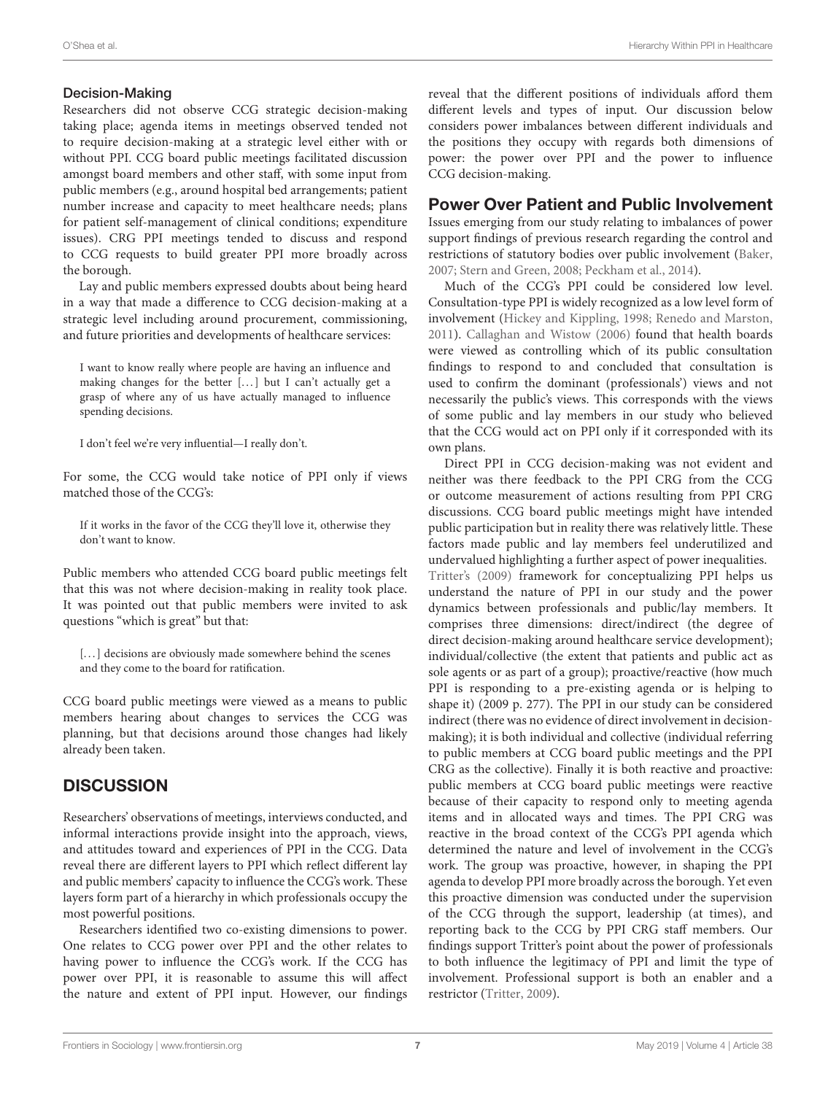### Decision-Making

Researchers did not observe CCG strategic decision-making taking place; agenda items in meetings observed tended not to require decision-making at a strategic level either with or without PPI. CCG board public meetings facilitated discussion amongst board members and other staff, with some input from public members (e.g., around hospital bed arrangements; patient number increase and capacity to meet healthcare needs; plans for patient self-management of clinical conditions; expenditure issues). CRG PPI meetings tended to discuss and respond to CCG requests to build greater PPI more broadly across the borough.

Lay and public members expressed doubts about being heard in a way that made a difference to CCG decision-making at a strategic level including around procurement, commissioning, and future priorities and developments of healthcare services:

I want to know really where people are having an influence and making changes for the better [...] but I can't actually get a grasp of where any of us have actually managed to influence spending decisions.

I don't feel we're very influential—I really don't.

For some, the CCG would take notice of PPI only if views matched those of the CCG's:

If it works in the favor of the CCG they'll love it, otherwise they don't want to know.

Public members who attended CCG board public meetings felt that this was not where decision-making in reality took place. It was pointed out that public members were invited to ask questions "which is great" but that:

[...] decisions are obviously made somewhere behind the scenes and they come to the board for ratification.

CCG board public meetings were viewed as a means to public members hearing about changes to services the CCG was planning, but that decisions around those changes had likely already been taken.

# **DISCUSSION**

Researchers' observations of meetings, interviews conducted, and informal interactions provide insight into the approach, views, and attitudes toward and experiences of PPI in the CCG. Data reveal there are different layers to PPI which reflect different lay and public members' capacity to influence the CCG's work. These layers form part of a hierarchy in which professionals occupy the most powerful positions.

Researchers identified two co-existing dimensions to power. One relates to CCG power over PPI and the other relates to having power to influence the CCG's work. If the CCG has power over PPI, it is reasonable to assume this will affect the nature and extent of PPI input. However, our findings reveal that the different positions of individuals afford them different levels and types of input. Our discussion below considers power imbalances between different individuals and the positions they occupy with regards both dimensions of power: the power over PPI and the power to influence CCG decision-making.

# Power Over Patient and Public Involvement

Issues emerging from our study relating to imbalances of power support findings of previous research regarding the control and restrictions of statutory bodies over public involvement [\(Baker,](#page-10-10) [2007;](#page-10-10) [Stern and Green, 2008;](#page-11-18) [Peckham et al., 2014\)](#page-11-19).

Much of the CCG's PPI could be considered low level. Consultation-type PPI is widely recognized as a low level form of involvement [\(Hickey and Kippling, 1998;](#page-11-20) [Renedo and Marston,](#page-11-21) [2011\)](#page-11-21). [Callaghan and Wistow \(2006\)](#page-10-11) found that health boards were viewed as controlling which of its public consultation findings to respond to and concluded that consultation is used to confirm the dominant (professionals') views and not necessarily the public's views. This corresponds with the views of some public and lay members in our study who believed that the CCG would act on PPI only if it corresponded with its own plans.

Direct PPI in CCG decision-making was not evident and neither was there feedback to the PPI CRG from the CCG or outcome measurement of actions resulting from PPI CRG discussions. CCG board public meetings might have intended public participation but in reality there was relatively little. These factors made public and lay members feel underutilized and undervalued highlighting a further aspect of power inequalities. [Tritter's \(2009\)](#page-11-3) framework for conceptualizing PPI helps us understand the nature of PPI in our study and the power dynamics between professionals and public/lay members. It comprises three dimensions: direct/indirect (the degree of direct decision-making around healthcare service development); individual/collective (the extent that patients and public act as sole agents or as part of a group); proactive/reactive (how much PPI is responding to a pre-existing agenda or is helping to shape it) (2009 p. 277). The PPI in our study can be considered indirect (there was no evidence of direct involvement in decisionmaking); it is both individual and collective (individual referring to public members at CCG board public meetings and the PPI CRG as the collective). Finally it is both reactive and proactive: public members at CCG board public meetings were reactive because of their capacity to respond only to meeting agenda items and in allocated ways and times. The PPI CRG was reactive in the broad context of the CCG's PPI agenda which determined the nature and level of involvement in the CCG's work. The group was proactive, however, in shaping the PPI agenda to develop PPI more broadly across the borough. Yet even this proactive dimension was conducted under the supervision of the CCG through the support, leadership (at times), and reporting back to the CCG by PPI CRG staff members. Our findings support Tritter's point about the power of professionals to both influence the legitimacy of PPI and limit the type of involvement. Professional support is both an enabler and a restrictor [\(Tritter, 2009\)](#page-11-3).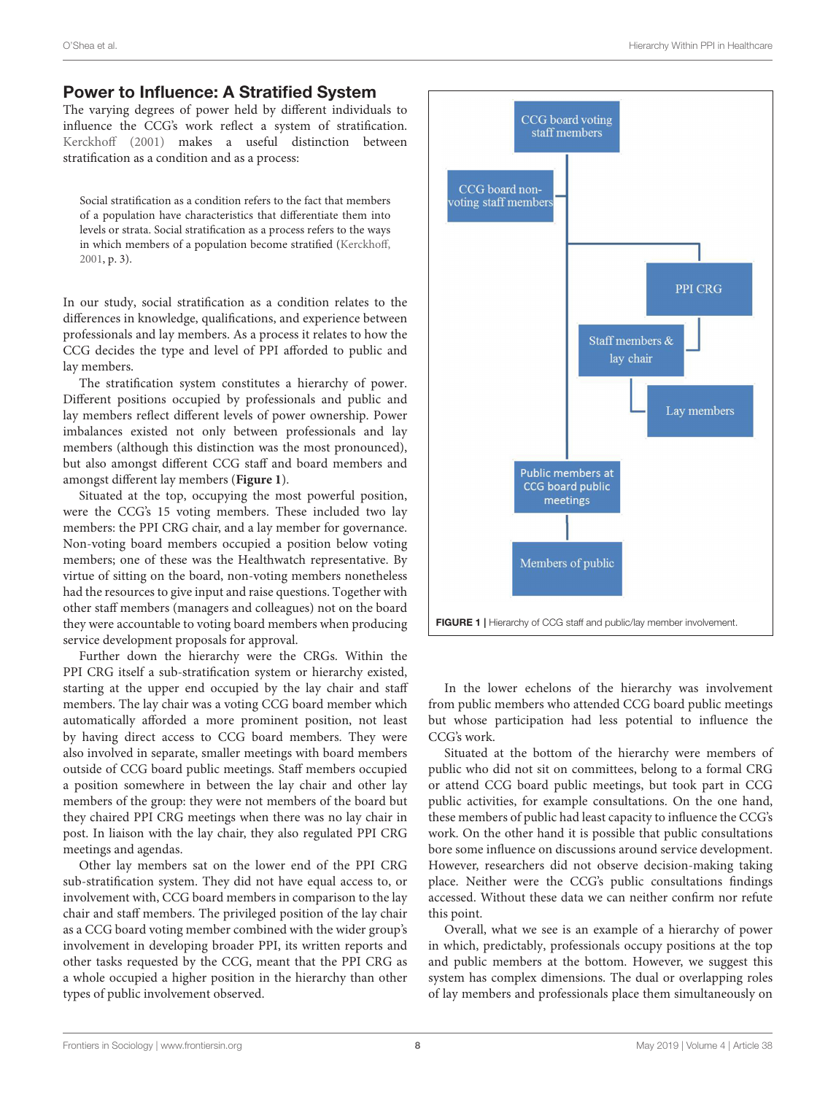### Power to Influence: A Stratified System

The varying degrees of power held by different individuals to influence the CCG's work reflect a system of stratification. [Kerckhoff \(2001\)](#page-11-22) makes a useful distinction between stratification as a condition and as a process:

Social stratification as a condition refers to the fact that members of a population have characteristics that differentiate them into levels or strata. Social stratification as a process refers to the ways in which members of a population become stratified [\(Kerckhoff,](#page-11-22) [2001,](#page-11-22) p. 3).

In our study, social stratification as a condition relates to the differences in knowledge, qualifications, and experience between professionals and lay members. As a process it relates to how the CCG decides the type and level of PPI afforded to public and lay members.

The stratification system constitutes a hierarchy of power. Different positions occupied by professionals and public and lay members reflect different levels of power ownership. Power imbalances existed not only between professionals and lay members (although this distinction was the most pronounced), but also amongst different CCG staff and board members and amongst different lay members (**[Figure 1](#page-7-0)**).

Situated at the top, occupying the most powerful position, were the CCG's 15 voting members. These included two lay members: the PPI CRG chair, and a lay member for governance. Non-voting board members occupied a position below voting members; one of these was the Healthwatch representative. By virtue of sitting on the board, non-voting members nonetheless had the resources to give input and raise questions. Together with other staff members (managers and colleagues) not on the board they were accountable to voting board members when producing service development proposals for approval.

Further down the hierarchy were the CRGs. Within the PPI CRG itself a sub-stratification system or hierarchy existed, starting at the upper end occupied by the lay chair and staff members. The lay chair was a voting CCG board member which automatically afforded a more prominent position, not least by having direct access to CCG board members. They were also involved in separate, smaller meetings with board members outside of CCG board public meetings. Staff members occupied a position somewhere in between the lay chair and other lay members of the group: they were not members of the board but they chaired PPI CRG meetings when there was no lay chair in post. In liaison with the lay chair, they also regulated PPI CRG meetings and agendas.

Other lay members sat on the lower end of the PPI CRG sub-stratification system. They did not have equal access to, or involvement with, CCG board members in comparison to the lay chair and staff members. The privileged position of the lay chair as a CCG board voting member combined with the wider group's involvement in developing broader PPI, its written reports and other tasks requested by the CCG, meant that the PPI CRG as a whole occupied a higher position in the hierarchy than other types of public involvement observed.



<span id="page-7-0"></span>In the lower echelons of the hierarchy was involvement from public members who attended CCG board public meetings but whose participation had less potential to influence the CCG's work.

Situated at the bottom of the hierarchy were members of public who did not sit on committees, belong to a formal CRG or attend CCG board public meetings, but took part in CCG public activities, for example consultations. On the one hand, these members of public had least capacity to influence the CCG's work. On the other hand it is possible that public consultations bore some influence on discussions around service development. However, researchers did not observe decision-making taking place. Neither were the CCG's public consultations findings accessed. Without these data we can neither confirm nor refute this point.

Overall, what we see is an example of a hierarchy of power in which, predictably, professionals occupy positions at the top and public members at the bottom. However, we suggest this system has complex dimensions. The dual or overlapping roles of lay members and professionals place them simultaneously on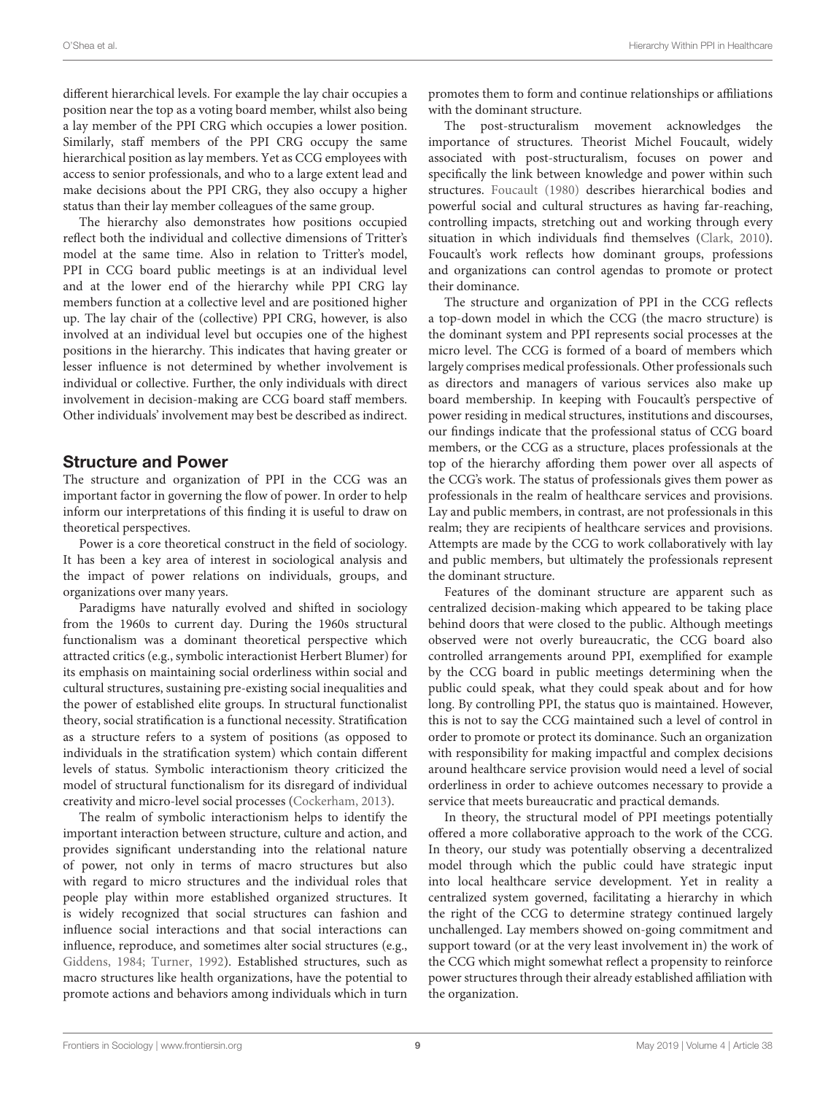different hierarchical levels. For example the lay chair occupies a position near the top as a voting board member, whilst also being a lay member of the PPI CRG which occupies a lower position. Similarly, staff members of the PPI CRG occupy the same hierarchical position as lay members. Yet as CCG employees with access to senior professionals, and who to a large extent lead and make decisions about the PPI CRG, they also occupy a higher status than their lay member colleagues of the same group.

The hierarchy also demonstrates how positions occupied reflect both the individual and collective dimensions of Tritter's model at the same time. Also in relation to Tritter's model, PPI in CCG board public meetings is at an individual level and at the lower end of the hierarchy while PPI CRG lay members function at a collective level and are positioned higher up. The lay chair of the (collective) PPI CRG, however, is also involved at an individual level but occupies one of the highest positions in the hierarchy. This indicates that having greater or lesser influence is not determined by whether involvement is individual or collective. Further, the only individuals with direct involvement in decision-making are CCG board staff members. Other individuals' involvement may best be described as indirect.

### Structure and Power

The structure and organization of PPI in the CCG was an important factor in governing the flow of power. In order to help inform our interpretations of this finding it is useful to draw on theoretical perspectives.

Power is a core theoretical construct in the field of sociology. It has been a key area of interest in sociological analysis and the impact of power relations on individuals, groups, and organizations over many years.

Paradigms have naturally evolved and shifted in sociology from the 1960s to current day. During the 1960s structural functionalism was a dominant theoretical perspective which attracted critics (e.g., symbolic interactionist Herbert Blumer) for its emphasis on maintaining social orderliness within social and cultural structures, sustaining pre-existing social inequalities and the power of established elite groups. In structural functionalist theory, social stratification is a functional necessity. Stratification as a structure refers to a system of positions (as opposed to individuals in the stratification system) which contain different levels of status. Symbolic interactionism theory criticized the model of structural functionalism for its disregard of individual creativity and micro-level social processes [\(Cockerham, 2013\)](#page-10-12).

The realm of symbolic interactionism helps to identify the important interaction between structure, culture and action, and provides significant understanding into the relational nature of power, not only in terms of macro structures but also with regard to micro structures and the individual roles that people play within more established organized structures. It is widely recognized that social structures can fashion and influence social interactions and that social interactions can influence, reproduce, and sometimes alter social structures (e.g., [Giddens, 1984;](#page-11-23) [Turner, 1992\)](#page-11-24). Established structures, such as macro structures like health organizations, have the potential to promote actions and behaviors among individuals which in turn

promotes them to form and continue relationships or affiliations with the dominant structure.

The post-structuralism movement acknowledges the importance of structures. Theorist Michel Foucault, widely associated with post-structuralism, focuses on power and specifically the link between knowledge and power within such structures. [Foucault \(1980\)](#page-10-13) describes hierarchical bodies and powerful social and cultural structures as having far-reaching, controlling impacts, stretching out and working through every situation in which individuals find themselves [\(Clark, 2010\)](#page-10-14). Foucault's work reflects how dominant groups, professions and organizations can control agendas to promote or protect their dominance.

The structure and organization of PPI in the CCG reflects a top-down model in which the CCG (the macro structure) is the dominant system and PPI represents social processes at the micro level. The CCG is formed of a board of members which largely comprises medical professionals. Other professionals such as directors and managers of various services also make up board membership. In keeping with Foucault's perspective of power residing in medical structures, institutions and discourses, our findings indicate that the professional status of CCG board members, or the CCG as a structure, places professionals at the top of the hierarchy affording them power over all aspects of the CCG's work. The status of professionals gives them power as professionals in the realm of healthcare services and provisions. Lay and public members, in contrast, are not professionals in this realm; they are recipients of healthcare services and provisions. Attempts are made by the CCG to work collaboratively with lay and public members, but ultimately the professionals represent the dominant structure.

Features of the dominant structure are apparent such as centralized decision-making which appeared to be taking place behind doors that were closed to the public. Although meetings observed were not overly bureaucratic, the CCG board also controlled arrangements around PPI, exemplified for example by the CCG board in public meetings determining when the public could speak, what they could speak about and for how long. By controlling PPI, the status quo is maintained. However, this is not to say the CCG maintained such a level of control in order to promote or protect its dominance. Such an organization with responsibility for making impactful and complex decisions around healthcare service provision would need a level of social orderliness in order to achieve outcomes necessary to provide a service that meets bureaucratic and practical demands.

In theory, the structural model of PPI meetings potentially offered a more collaborative approach to the work of the CCG. In theory, our study was potentially observing a decentralized model through which the public could have strategic input into local healthcare service development. Yet in reality a centralized system governed, facilitating a hierarchy in which the right of the CCG to determine strategy continued largely unchallenged. Lay members showed on-going commitment and support toward (or at the very least involvement in) the work of the CCG which might somewhat reflect a propensity to reinforce power structures through their already established affiliation with the organization.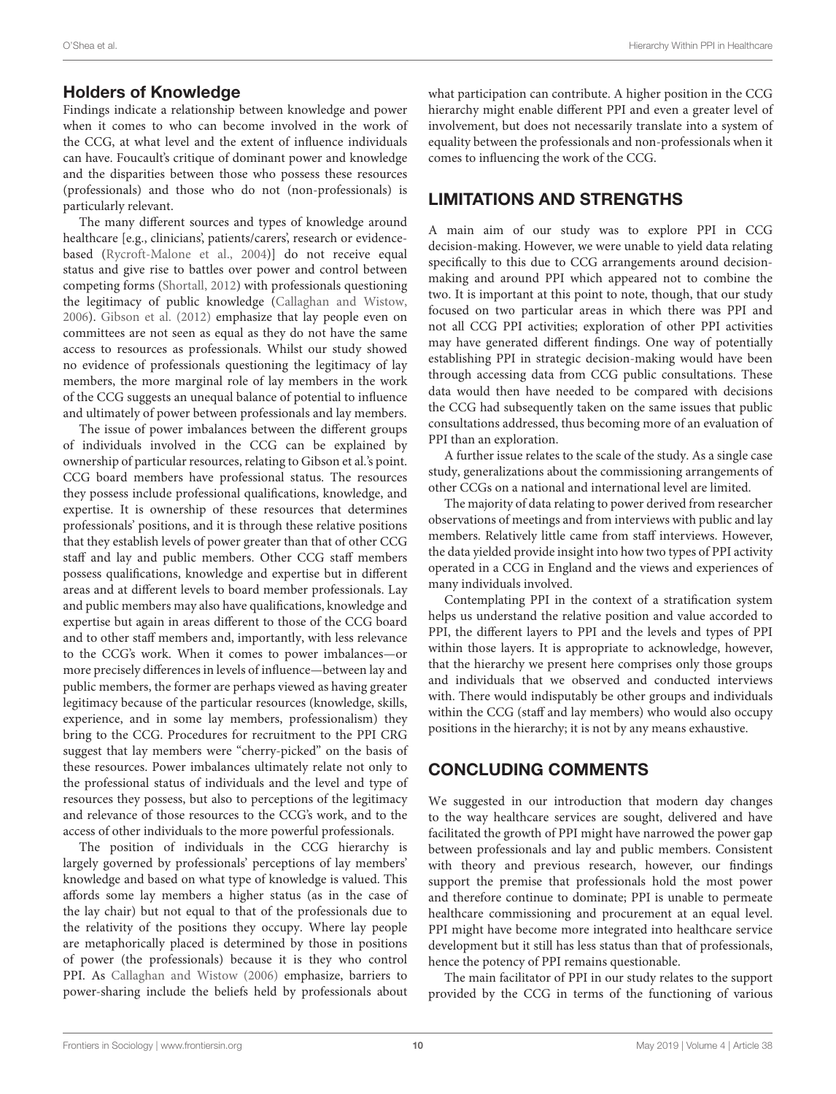### Holders of Knowledge

Findings indicate a relationship between knowledge and power when it comes to who can become involved in the work of the CCG, at what level and the extent of influence individuals can have. Foucault's critique of dominant power and knowledge and the disparities between those who possess these resources (professionals) and those who do not (non-professionals) is particularly relevant.

The many different sources and types of knowledge around healthcare [e.g., clinicians', patients/carers', research or evidencebased [\(Rycroft-Malone et al., 2004\)](#page-11-25)] do not receive equal status and give rise to battles over power and control between competing forms [\(Shortall, 2012\)](#page-11-26) with professionals questioning the legitimacy of public knowledge [\(Callaghan and Wistow,](#page-10-11) [2006\)](#page-10-11). [Gibson et al. \(2012\)](#page-11-4) emphasize that lay people even on committees are not seen as equal as they do not have the same access to resources as professionals. Whilst our study showed no evidence of professionals questioning the legitimacy of lay members, the more marginal role of lay members in the work of the CCG suggests an unequal balance of potential to influence and ultimately of power between professionals and lay members.

The issue of power imbalances between the different groups of individuals involved in the CCG can be explained by ownership of particular resources, relating to Gibson et al.'s point. CCG board members have professional status. The resources they possess include professional qualifications, knowledge, and expertise. It is ownership of these resources that determines professionals' positions, and it is through these relative positions that they establish levels of power greater than that of other CCG staff and lay and public members. Other CCG staff members possess qualifications, knowledge and expertise but in different areas and at different levels to board member professionals. Lay and public members may also have qualifications, knowledge and expertise but again in areas different to those of the CCG board and to other staff members and, importantly, with less relevance to the CCG's work. When it comes to power imbalances—or more precisely differences in levels of influence—between lay and public members, the former are perhaps viewed as having greater legitimacy because of the particular resources (knowledge, skills, experience, and in some lay members, professionalism) they bring to the CCG. Procedures for recruitment to the PPI CRG suggest that lay members were "cherry-picked" on the basis of these resources. Power imbalances ultimately relate not only to the professional status of individuals and the level and type of resources they possess, but also to perceptions of the legitimacy and relevance of those resources to the CCG's work, and to the access of other individuals to the more powerful professionals.

The position of individuals in the CCG hierarchy is largely governed by professionals' perceptions of lay members' knowledge and based on what type of knowledge is valued. This affords some lay members a higher status (as in the case of the lay chair) but not equal to that of the professionals due to the relativity of the positions they occupy. Where lay people are metaphorically placed is determined by those in positions of power (the professionals) because it is they who control PPI. As [Callaghan and Wistow \(2006\)](#page-10-11) emphasize, barriers to power-sharing include the beliefs held by professionals about what participation can contribute. A higher position in the CCG hierarchy might enable different PPI and even a greater level of involvement, but does not necessarily translate into a system of equality between the professionals and non-professionals when it comes to influencing the work of the CCG.

# LIMITATIONS AND STRENGTHS

A main aim of our study was to explore PPI in CCG decision-making. However, we were unable to yield data relating specifically to this due to CCG arrangements around decisionmaking and around PPI which appeared not to combine the two. It is important at this point to note, though, that our study focused on two particular areas in which there was PPI and not all CCG PPI activities; exploration of other PPI activities may have generated different findings. One way of potentially establishing PPI in strategic decision-making would have been through accessing data from CCG public consultations. These data would then have needed to be compared with decisions the CCG had subsequently taken on the same issues that public consultations addressed, thus becoming more of an evaluation of PPI than an exploration.

A further issue relates to the scale of the study. As a single case study, generalizations about the commissioning arrangements of other CCGs on a national and international level are limited.

The majority of data relating to power derived from researcher observations of meetings and from interviews with public and lay members. Relatively little came from staff interviews. However, the data yielded provide insight into how two types of PPI activity operated in a CCG in England and the views and experiences of many individuals involved.

Contemplating PPI in the context of a stratification system helps us understand the relative position and value accorded to PPI, the different layers to PPI and the levels and types of PPI within those layers. It is appropriate to acknowledge, however, that the hierarchy we present here comprises only those groups and individuals that we observed and conducted interviews with. There would indisputably be other groups and individuals within the CCG (staff and lay members) who would also occupy positions in the hierarchy; it is not by any means exhaustive.

# CONCLUDING COMMENTS

We suggested in our introduction that modern day changes to the way healthcare services are sought, delivered and have facilitated the growth of PPI might have narrowed the power gap between professionals and lay and public members. Consistent with theory and previous research, however, our findings support the premise that professionals hold the most power and therefore continue to dominate; PPI is unable to permeate healthcare commissioning and procurement at an equal level. PPI might have become more integrated into healthcare service development but it still has less status than that of professionals, hence the potency of PPI remains questionable.

The main facilitator of PPI in our study relates to the support provided by the CCG in terms of the functioning of various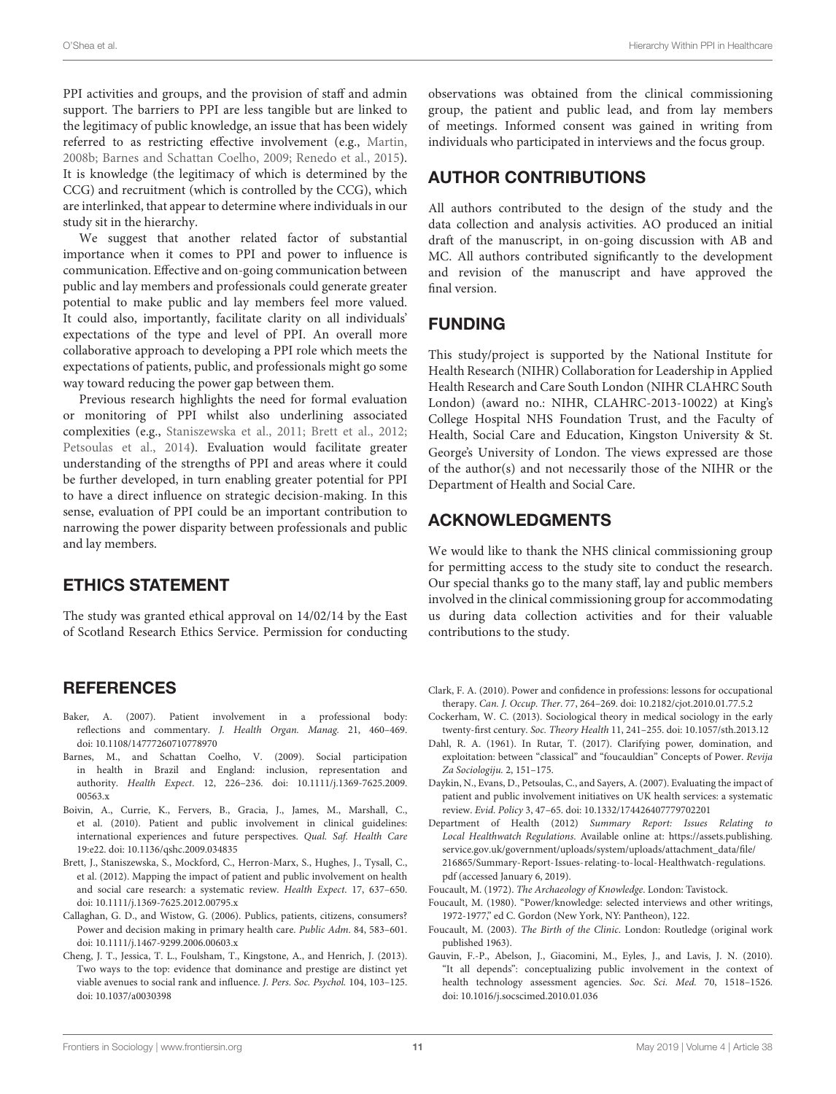PPI activities and groups, and the provision of staff and admin support. The barriers to PPI are less tangible but are linked to the legitimacy of public knowledge, an issue that has been widely referred to as restricting effective involvement (e.g., [Martin,](#page-11-7) [2008b;](#page-11-7) [Barnes and Schattan Coelho, 2009;](#page-10-2) [Renedo et al., 2015\)](#page-11-27). It is knowledge (the legitimacy of which is determined by the CCG) and recruitment (which is controlled by the CCG), which are interlinked, that appear to determine where individuals in our study sit in the hierarchy.

We suggest that another related factor of substantial importance when it comes to PPI and power to influence is communication. Effective and on-going communication between public and lay members and professionals could generate greater potential to make public and lay members feel more valued. It could also, importantly, facilitate clarity on all individuals' expectations of the type and level of PPI. An overall more collaborative approach to developing a PPI role which meets the expectations of patients, public, and professionals might go some way toward reducing the power gap between them.

Previous research highlights the need for formal evaluation or monitoring of PPI whilst also underlining associated complexities (e.g., [Staniszewska et al., 2011;](#page-11-6) [Brett et al., 2012;](#page-10-3) [Petsoulas et al., 2014\)](#page-11-9). Evaluation would facilitate greater understanding of the strengths of PPI and areas where it could be further developed, in turn enabling greater potential for PPI to have a direct influence on strategic decision-making. In this sense, evaluation of PPI could be an important contribution to narrowing the power disparity between professionals and public and lay members.

# ETHICS STATEMENT

The study was granted ethical approval on 14/02/14 by the East of Scotland Research Ethics Service. Permission for conducting

### **REFERENCES**

- <span id="page-10-10"></span>Baker, A. (2007). Patient involvement in a professional body: reflections and commentary. J. Health Organ. Manag. 21, 460–469. doi: [10.1108/14777260710778970](https://doi.org/10.1108/14777260710778970)
- <span id="page-10-2"></span>Barnes, M., and Schattan Coelho, V. (2009). Social participation in health in Brazil and England: inclusion, representation and authority. Health Expect[. 12, 226–236. doi: 10.1111/j.1369-7625.2009.](https://doi.org/10.1111/j.1369-7625.2009.00563.x) 00563.x
- <span id="page-10-0"></span>Boivin, A., Currie, K., Fervers, B., Gracia, J., James, M., Marshall, C., et al. (2010). Patient and public involvement in clinical guidelines: international experiences and future perspectives. Qual. Saf. Health Care 19:e22. doi: [10.1136/qshc.2009.034835](https://doi.org/10.1136/qshc.2009.034835)
- <span id="page-10-3"></span>Brett, J., Staniszewska, S., Mockford, C., Herron-Marx, S., Hughes, J., Tysall, C., et al. (2012). Mapping the impact of patient and public involvement on health and social care research: a systematic review. Health Expect. 17, 637–650. doi: [10.1111/j.1369-7625.2012.00795.x](https://doi.org/10.1111/j.1369-7625.2012.00795.x)
- <span id="page-10-11"></span>Callaghan, G. D., and Wistow, G. (2006). Publics, patients, citizens, consumers? Power and decision making in primary health care. Public Adm. 84, 583–601. doi: [10.1111/j.1467-9299.2006.00603.x](https://doi.org/10.1111/j.1467-9299.2006.00603.x)
- <span id="page-10-6"></span>Cheng, J. T., Jessica, T. L., Foulsham, T., Kingstone, A., and Henrich, J. (2013). Two ways to the top: evidence that dominance and prestige are distinct yet viable avenues to social rank and influence. J. Pers. Soc. Psychol. 104, 103–125. doi: [10.1037/a0030398](https://doi.org/10.1037/a0030398)

observations was obtained from the clinical commissioning group, the patient and public lead, and from lay members of meetings. Informed consent was gained in writing from individuals who participated in interviews and the focus group.

# AUTHOR CONTRIBUTIONS

All authors contributed to the design of the study and the data collection and analysis activities. AO produced an initial draft of the manuscript, in on-going discussion with AB and MC. All authors contributed significantly to the development and revision of the manuscript and have approved the final version.

# FUNDING

This study/project is supported by the National Institute for Health Research (NIHR) Collaboration for Leadership in Applied Health Research and Care South London (NIHR CLAHRC South London) (award no.: NIHR, CLAHRC-2013-10022) at King's College Hospital NHS Foundation Trust, and the Faculty of Health, Social Care and Education, Kingston University & St. George's University of London. The views expressed are those of the author(s) and not necessarily those of the NIHR or the Department of Health and Social Care.

### ACKNOWLEDGMENTS

We would like to thank the NHS clinical commissioning group for permitting access to the study site to conduct the research. Our special thanks go to the many staff, lay and public members involved in the clinical commissioning group for accommodating us during data collection activities and for their valuable contributions to the study.

- <span id="page-10-14"></span>Clark, F. A. (2010). Power and confidence in professions: lessons for occupational therapy. Can. J. Occup. Ther. 77, 264–269. doi: [10.2182/cjot.2010.01.77.5.2](https://doi.org/10.2182/cjot.2010.01.77.5.2)
- <span id="page-10-12"></span>Cockerham, W. C. (2013). Sociological theory in medical sociology in the early twenty-first century. Soc. Theory Health 11, 241–255. doi: [10.1057/sth.2013.12](https://doi.org/10.1057/sth.2013.12)
- <span id="page-10-9"></span>Dahl, R. A. (1961). In Rutar, T. (2017). Clarifying power, domination, and exploitation: between "classical" and "foucauldian" Concepts of Power. Revija Za Sociologiju. 2, 151–175.
- <span id="page-10-4"></span>Daykin, N., Evans, D., Petsoulas, C., and Sayers, A. (2007). Evaluating the impact of patient and public involvement initiatives on UK health services: a systematic review. Evid. Policy 3, 47–65. doi: [10.1332/174426407779702201](https://doi.org/10.1332/174426407779702201)
- <span id="page-10-5"></span>Department of Health (2012) Summary Report: Issues Relating to Local Healthwatch Regulations. Available online at: [https://assets.publishing.](https://assets.publishing.service.gov.uk/government/uploads/system/uploads/attachment_data/file/216865/Summary-Report-Issues-relating-to-local-Healthwatch-regulations.pdf) [service.gov.uk/government/uploads/system/uploads/attachment\\_data/file/](https://assets.publishing.service.gov.uk/government/uploads/system/uploads/attachment_data/file/216865/Summary-Report-Issues-relating-to-local-Healthwatch-regulations.pdf) [216865/Summary-Report-Issues-relating-to-local-Healthwatch-regulations.](https://assets.publishing.service.gov.uk/government/uploads/system/uploads/attachment_data/file/216865/Summary-Report-Issues-relating-to-local-Healthwatch-regulations.pdf) [pdf](https://assets.publishing.service.gov.uk/government/uploads/system/uploads/attachment_data/file/216865/Summary-Report-Issues-relating-to-local-Healthwatch-regulations.pdf) (accessed January 6, 2019).
- <span id="page-10-7"></span>Foucault, M. (1972). The Archaeology of Knowledge. London: Tavistock.
- <span id="page-10-13"></span>Foucault, M. (1980). "Power/knowledge: selected interviews and other writings, 1972-1977," ed C. Gordon (New York, NY: Pantheon), 122.
- <span id="page-10-8"></span>Foucault, M. (2003). The Birth of the Clinic. London: Routledge (original work published 1963).
- <span id="page-10-1"></span>Gauvin, F.-P., Abelson, J., Giacomini, M., Eyles, J., and Lavis, J. N. (2010). "It all depends": conceptualizing public involvement in the context of health technology assessment agencies. Soc. Sci. Med. 70, 1518–1526. doi: [10.1016/j.socscimed.2010.01.036](https://doi.org/10.1016/j.socscimed.2010.01.036)